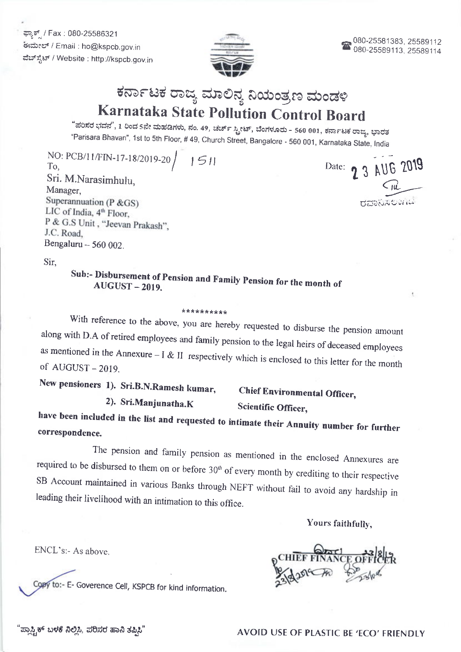ಫ್ಯಾಕ್ / Fax : 080-25586321 ಈಮೇಲ್ / Email : ho@kspcb.gov.in ವೆಬ್ಸ್ಟೆಟ್ / Website : http://kspcb.gov.in



# ಕರ್ನಾಟಕ ರಾಜ್ಯ ಮಾಲಿನ್ಯ ನಿಯಂತ್ರಣ ಮಂಡಳಿ Karnataka State Pollution Control Board

"ಪರಿಸರ ಭವನ", 1 ರಿಂದ 5ನೇ ಮಹಡಿಗಳು, ನಂ. 49, ಚರ್ಚ್ ಸ್ಟ್ರೀಟ್, ಬೆಂಗಳೂರು - 560 001, ಕರ್ನಾಟಕ ರಾಜ್ಯ, ಭಾರತ "Parisara Bhavan", 1st to 5th Floor, # 49, Church Street, Bangalore - 560 001, Karnataka State, India

NO: PCB/11/FIN-17-18/2019-20  $1511$ To, Sri. M.Narasimhulu, Manager. Superannuation (P  $\&$  GS) LIC of India, 4<sup>th</sup> Floor, P & G.S Unit, "Jeevan Prakash", J.C. Road. Bengaluru -- 560 002.

Date: 2 3 AUG 2019

Sir.

### Sub:- Disbursement of Pension and Family Pension for the month of **AUGUST-2019.**

#### \*\*\*\*\*\*\*\*\*\*

With reference to the above, you are hereby requested to disburse the pension amount along with D.A of retired employees and family pension to the legal heirs of deceased employees as mentioned in the Annexure  $-1$  & II respectively which is enclosed to this letter for the month of AUGUST-2019.

New pensioners 1). Sri.B.N.Ramesh kumar,

2). Sri.Manjunatha.K

**Chief Environmental Officer,** Scientific Officer,

have been included in the list and requested to intimate their Annuity number for further correspondence.

The pension and family pension as mentioned in the enclosed Annexures are required to be disbursed to them on or before  $30<sup>th</sup>$  of every month by crediting to their respective SB Account maintained in various Banks through NEFT without fail to avoid any hardship in leading their livelihood with an intimation to this office.

Yours faithfully,

ENCL's:- As above.

Copy to:- E- Goverence Cell, KSPCB for kind information.

ಪ್ಲಾಸ್ಟ್ರಿಕ್ ಬಳಕೆ ನಿಲ್ಲಿಸಿ, ಪರಿಸರ ಹಾನಿ ತಪ್ಪಿಸಿ'

**AVOID USE OF PLASTIC BE 'ECO' FRIENDLY**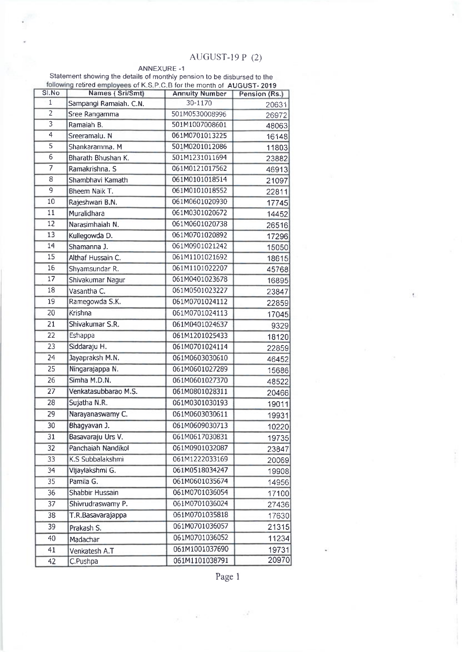## AUGUST-I9 P (2)

ł,

#### ANNEXURE -1

Statement showing the details of monthly pension to be disbursed to the retired employees of K.S.P.C.B for the month of AUGUST- 2019

| S1.No                     | Names (Sri/Smt)        | <b>Annuity Number</b> | Pension (Rs.) |
|---------------------------|------------------------|-----------------------|---------------|
| $\mathbf{1}$              | Sampangi Ramaiah. C.N. | 30-1170               | 20631         |
| $\overline{2}$            | Sree Rangamma          | 501M0530008996        | 26972         |
| $\overline{\overline{3}}$ | Ramaiah B.             | 501M1007008601        | 48063         |
| $\overline{4}$            | Sreeramalu. N          | 061M0701013225        | 16148         |
| $\overline{5}$            | Shankaramma. M         | 501M0201012086        | 11803         |
| $\overline{6}$            | Bharath Bhushan K.     | 501M1231011694        | 23882         |
| $\overline{7}$            | Ramakrishna. S         | 061M0121017562        | 46913         |
| 8                         | Shambhavi Kamath       | 061M0101018514        | 21097         |
| 9                         | Bheem Naik T.          | 061M0101018552        | 22811         |
| 10                        | Rajeshwari B.N.        | 061M0601020930        | 17745         |
| $\overline{11}$           | Muralidhara            | 061M0301020672        | 14452         |
| 12                        | Narasimhaiah N.        | 061M0601020738        | 26516         |
| 13                        | Kullegowda D.          | 061M0701020892        | 17296         |
| 14                        | Shamanna J.            | 061M0901021242        | 15050         |
| 15                        | Althaf Hussain C.      | 061M1101021692        | 18615         |
| 16                        | Shyamsundar R.         | 061M1101022207        | 45768         |
| 17                        | Shivakumar Nagur       | 061M0401023678        | 16895         |
| 18                        | Vasantha C.            | 061M0501023227        | 23847         |
| 19                        | Ramegowda S.K.         | 061M0701024112        | 22859         |
| 20                        | Krishna                | 061M0701024113        | 17045         |
| 21                        | Shivakumar S.R.        | 061M0401024637        | 9329          |
| 22                        | Eshappa                | 061M1201025433        | 18120         |
| $\overline{23}$           | Siddaraju H.           | 061M0701024114        | 22859         |
| 24                        | Jayapraksh M.N.        | 061M0603030610        | 46452         |
| 25                        | Ningarajappa N.        | 061M0601027289        | 15686         |
| 26                        | Simha M.D.N.           | 061M0601027370        | 48522         |
| 27                        | Venkatasubbarao M.S.   | 061M0801028311        | 20466         |
| 28                        | Sujatha N.R.           | 061M0301030193        | 19011         |
| 29                        | Narayanaswamy C.       | 061M0603030611        | 19931         |
| 30                        | Bhagyavan J.           | 061M0609030713        | 10220         |
| 31                        | Basavaraju Urs V.      | 061M0617030831        | 19735         |
| 32                        | Panchaiah Nandikol     | 061M0901032087        | 23847         |
| 33                        | K.S Subbalakshmi       | 061M1222033169        | 20069         |
| 34                        | Vijaylakshmi G.        | 061M0518034247        | 19908         |
| 35                        | Pamila G.              | 061M0601035674        | 14956         |
| 36                        | Shabbir Hussain        | 061M0701036054        | 17100         |
| 37                        | Shivrudraswamy P.      | 061M0701036024        | 27436         |
| 38                        | T.R.Basavarajappa      | 061M0701035818        | 17630         |
| 39                        | Prakash S.             | 061M0701036057        | 21315         |
| 40                        | Madachar               | 061M0701036052        | 11234         |
| 41                        |                        | 061M1001037690        | 19731         |
|                           | Venkatesh A.T          | 061M1101038791        | 20970         |
| 42                        | C.Pushpa               |                       |               |

Page I

 $\mathcal{R}$ 

 $\frac{1}{\left\vert \mathcal{H}_{\mathrm{c}}^{\mathrm{c}}\right\vert ^{2}}=\frac{1}{\left\vert \mathcal{H}_{\mathrm{c}}^{\mathrm{c}}\right\vert ^{2}}\left\vert \mathcal{H}_{\mathrm{c}}^{\mathrm{c}}\right\vert ^{2},$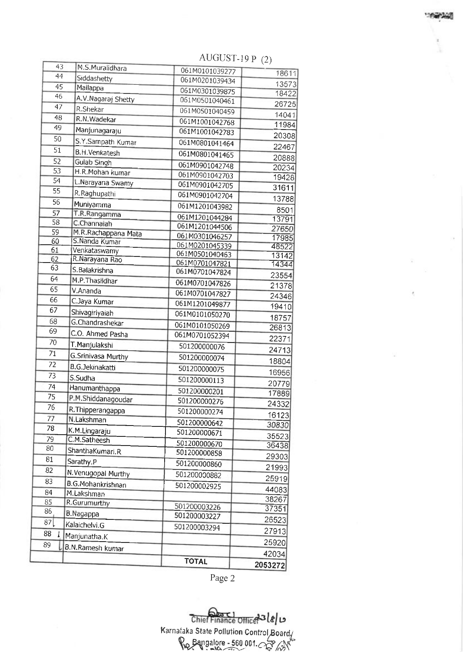|                 |                                 | <b>TOTAL</b>                     | 2053272        |
|-----------------|---------------------------------|----------------------------------|----------------|
|                 |                                 |                                  | 42034          |
| 89              | B.N.Ramesh kumar                |                                  | 25920          |
| 88              | Manjunatha.K                    |                                  | 27913          |
| 87[             | Kalaichelvi.G                   | 501200003294                     | 26523          |
| 86              | B.Nagappa                       | 501200003226<br>501200003227     | 37351          |
| 85              | R.Gurumurthy                    |                                  | 38267          |
| 84              | B.G.Mohankrishnan<br>M.Lakshman | 501200002925                     | 44083          |
| 83              | N. Venugopal Murthy             | 501200000882                     | 25919          |
| 82              |                                 | 501200000860                     | 21993          |
| 81              | Sarathy.P                       | 501200000858                     | 29303          |
| 80              | ShanthaKumari.R                 | 501200000670                     | 36438          |
| 79              | C.M.Satheesh                    | 501200000671                     | 35523          |
| 78              | K.M.Lingaraju                   | 501200000642                     | 30830          |
| 77              | R. Thipperangappa<br>N.Lakshman | 501200000274                     | 16123          |
| 76              |                                 | 501200000276                     | 24332          |
| 75              | P.M.Shiddanagoudar              | 501200000201                     | 17889          |
| 74              | Hanumanthappa                   | 501200000113                     | 20779          |
| 73              | S.Sudha                         | 501200000075                     | 16956          |
| 72              | <b>B.G.Jekinakatti</b>          | 501200000074                     | 18804          |
| 71              | G.Srinivasa Murthy              |                                  | 24713          |
| 70              | T. Manjulakshi                  | 501200000076                     | 22371          |
| 69              | C.O. Ahmed Pasha                | 061M0701052394                   | 26813          |
| 68              | G.Chandrashekar                 | 061M0101050269                   | 18757          |
| 67              | Shivagiriyaiah                  | 061M1201049877<br>061M0101050270 | 19410          |
| 66              | C.Jaya Kumar                    | 061M0701047827                   | 24346          |
| 65              | V.Ananda                        | 061M0701047826                   | 21378          |
| 64              | M.P. Thasildhar                 |                                  | 23554          |
| 63              | S.Balakrishna                   | 061M0701047821<br>061M0701047824 | 14344          |
| 62              | R.Narayana Rao                  | 061M0501040463                   | 13142          |
| 60<br>61        | S.Nanda Kumar<br>Venkataswamy   | 061M0201045339                   | 48522          |
| 59              | M.R.Rachappana Mata             | 061M0301046257                   | 17985          |
| 58              | C.Channaiah                     | 061M1201044506                   | 27650          |
| 57              | T.R.Rangamma                    | 061M1201044284                   | 8501<br>13791  |
| $\overline{56}$ | Muniyamma                       | 061M1201043982                   | 13788          |
| 55              | R.Raghupathi                    | 061M0901042704                   |                |
| 54              | L.Narayana Swamy                | 061M0901042705                   | 31611          |
| $\overline{53}$ | H.R.Mohan kumar                 | 061M0901042703                   | 20234<br>19428 |
| $\overline{52}$ | Gulab Singh                     | 061M0901042748                   | 20888          |
| 51              | <b>B.H.Venkatesh</b>            | 061M0801041465                   | 22467          |
| 50              | S.Y.Sampath Kumar               | 061M0801041464                   | 20308          |
| 49              | Manjunagaraju                   | 061M1001042783                   | 11984          |
| 48              | R.N.Wadekar                     | 061M1001042768                   | 14041          |
| 47              | R.Shekar                        | 061M0501040459                   | 26725          |
| 46              | A.V.Nagaraj Shetty              | 061M0501040461                   | 18422          |
| 45              | Mallappa                        | 061M0301039875                   | 13573          |
| 44              | Siddashetty                     | 061M0201039434                   | 18611          |
| 43              | M.S.Muralidhara                 | 061M0101039277                   |                |

AUGUST-19 P $(2)$ 

Page 2

Karnataka State Pollution Control Board.

 $\chi_{\varphi}$  Bangalore - 560 001.